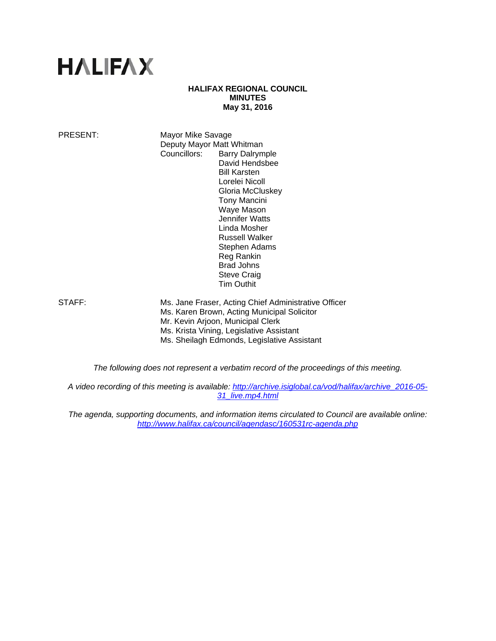# **HALIFAX**

#### **HALIFAX REGIONAL COUNCIL MINUTES May 31, 2016**

PRESENT: Mayor Mike Savage Deputy Mayor Matt Whitman Councillors: Barry Dalrymple David Hendsbee Bill Karsten Lorelei Nicoll Gloria McCluskey Tony Mancini Waye Mason Jennifer Watts Linda Mosher Russell Walker Stephen Adams Reg Rankin Brad Johns Steve Craig Tim Outhit

STAFF: Ms. Jane Fraser, Acting Chief Administrative Officer Ms. Karen Brown, Acting Municipal Solicitor Mr. Kevin Arjoon, Municipal Clerk Ms. Krista Vining, Legislative Assistant Ms. Sheilagh Edmonds, Legislative Assistant

*The following does not represent a verbatim record of the proceedings of this meeting.* 

*A video recording of this meeting is available: http://archive.isiglobal.ca/vod/halifax/archive\_2016-05- 31\_live.mp4.html* 

*The agenda, supporting documents, and information items circulated to Council are available online: http://www.halifax.ca/council/agendasc/160531rc-agenda.php*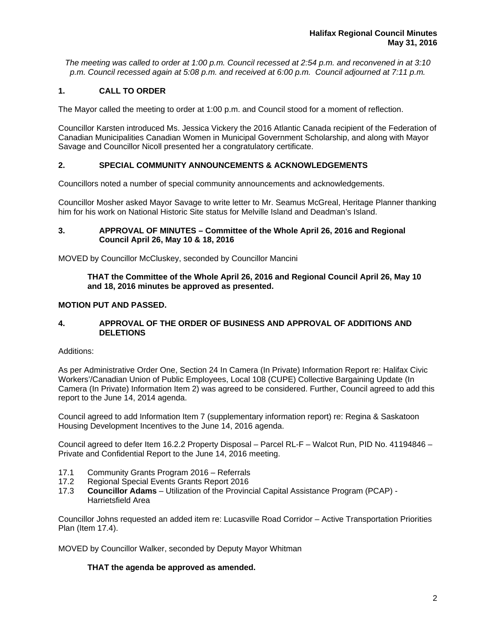*The meeting was called to order at 1:00 p.m. Council recessed at 2:54 p.m. and reconvened in at 3:10 p.m. Council recessed again at 5:08 p.m. and received at 6:00 p.m. Council adjourned at 7:11 p.m.* 

# **1. CALL TO ORDER**

The Mayor called the meeting to order at 1:00 p.m. and Council stood for a moment of reflection.

Councillor Karsten introduced Ms. Jessica Vickery the 2016 Atlantic Canada recipient of the Federation of Canadian Municipalities Canadian Women in Municipal Government Scholarship, and along with Mayor Savage and Councillor Nicoll presented her a congratulatory certificate.

# **2. SPECIAL COMMUNITY ANNOUNCEMENTS & ACKNOWLEDGEMENTS**

Councillors noted a number of special community announcements and acknowledgements.

Councillor Mosher asked Mayor Savage to write letter to Mr. Seamus McGreal, Heritage Planner thanking him for his work on National Historic Site status for Melville Island and Deadman's Island.

## **3. APPROVAL OF MINUTES – Committee of the Whole April 26, 2016 and Regional Council April 26, May 10 & 18, 2016**

MOVED by Councillor McCluskey, seconded by Councillor Mancini

## **THAT the Committee of the Whole April 26, 2016 and Regional Council April 26, May 10 and 18, 2016 minutes be approved as presented.**

## **MOTION PUT AND PASSED.**

## **4. APPROVAL OF THE ORDER OF BUSINESS AND APPROVAL OF ADDITIONS AND DELETIONS**

#### Additions:

As per Administrative Order One, Section 24 In Camera (In Private) Information Report re: Halifax Civic Workers'/Canadian Union of Public Employees, Local 108 (CUPE) Collective Bargaining Update (In Camera (In Private) Information Item 2) was agreed to be considered. Further, Council agreed to add this report to the June 14, 2014 agenda.

Council agreed to add Information Item 7 (supplementary information report) re: Regina & Saskatoon Housing Development Incentives to the June 14, 2016 agenda.

Council agreed to defer Item 16.2.2 Property Disposal – Parcel RL-F – Walcot Run, PID No. 41194846 – Private and Confidential Report to the June 14, 2016 meeting.

- 17.1 Community Grants Program 2016 Referrals
- 17.2 Regional Special Events Grants Report 2016
- 17.3 **Councillor Adams** Utilization of the Provincial Capital Assistance Program (PCAP) Harrietsfield Area

Councillor Johns requested an added item re: Lucasville Road Corridor – Active Transportation Priorities Plan (Item 17.4).

MOVED by Councillor Walker, seconded by Deputy Mayor Whitman

# **THAT the agenda be approved as amended.**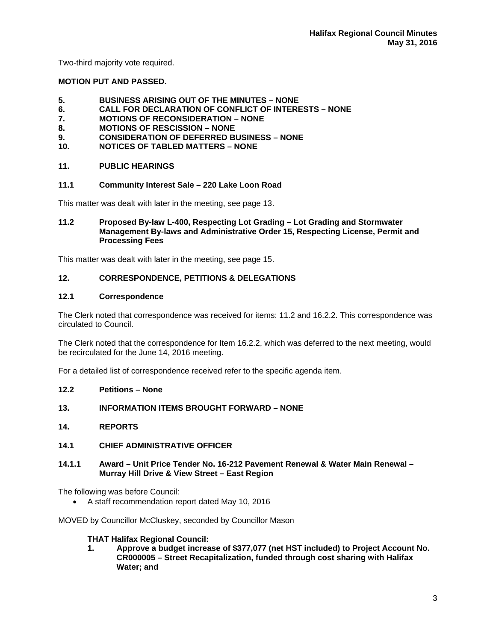Two-third majority vote required.

#### **MOTION PUT AND PASSED.**

- **5. BUSINESS ARISING OUT OF THE MINUTES NONE**
- **6. CALL FOR DECLARATION OF CONFLICT OF INTERESTS NONE**
- **7. MOTIONS OF RECONSIDERATION NONE**
- **8. MOTIONS OF RESCISSION NONE**
- **9. CONSIDERATION OF DEFERRED BUSINESS NONE**
- **10. NOTICES OF TABLED MATTERS NONE**

## **11. PUBLIC HEARINGS**

#### **11.1 Community Interest Sale – 220 Lake Loon Road**

This matter was dealt with later in the meeting, see page 13.

#### **11.2 Proposed By-law L-400, Respecting Lot Grading – Lot Grading and Stormwater Management By-laws and Administrative Order 15, Respecting License, Permit and Processing Fees**

This matter was dealt with later in the meeting, see page 15.

## **12. CORRESPONDENCE, PETITIONS & DELEGATIONS**

#### **12.1 Correspondence**

The Clerk noted that correspondence was received for items: 11.2 and 16.2.2. This correspondence was circulated to Council.

The Clerk noted that the correspondence for Item 16.2.2, which was deferred to the next meeting, would be recirculated for the June 14, 2016 meeting.

For a detailed list of correspondence received refer to the specific agenda item.

- **12.2 Petitions None**
- **13. INFORMATION ITEMS BROUGHT FORWARD NONE**
- **14. REPORTS**
- **14.1 CHIEF ADMINISTRATIVE OFFICER**
- **14.1.1 Award Unit Price Tender No. 16-212 Pavement Renewal & Water Main Renewal Murray Hill Drive & View Street – East Region**

The following was before Council:

A staff recommendation report dated May 10, 2016

MOVED by Councillor McCluskey, seconded by Councillor Mason

#### **THAT Halifax Regional Council:**

**1. Approve a budget increase of \$377,077 (net HST included) to Project Account No. CR000005 – Street Recapitalization, funded through cost sharing with Halifax Water; and**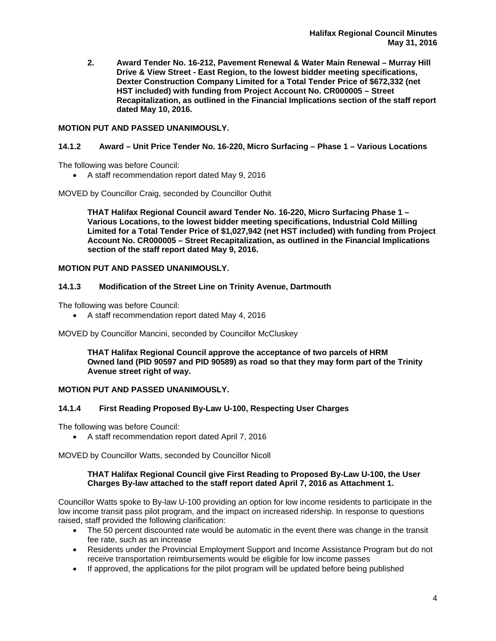**2. Award Tender No. 16-212, Pavement Renewal & Water Main Renewal – Murray Hill Drive & View Street - East Region, to the lowest bidder meeting specifications, Dexter Construction Company Limited for a Total Tender Price of \$672,332 (net HST included) with funding from Project Account No. CR000005 – Street Recapitalization, as outlined in the Financial Implications section of the staff report dated May 10, 2016.** 

## **MOTION PUT AND PASSED UNANIMOUSLY.**

## **14.1.2 Award – Unit Price Tender No. 16-220, Micro Surfacing – Phase 1 – Various Locations**

The following was before Council:

A staff recommendation report dated May 9, 2016

MOVED by Councillor Craig, seconded by Councillor Outhit

**THAT Halifax Regional Council award Tender No. 16-220, Micro Surfacing Phase 1 – Various Locations, to the lowest bidder meeting specifications, Industrial Cold Milling Limited for a Total Tender Price of \$1,027,942 (net HST included) with funding from Project Account No. CR000005 – Street Recapitalization, as outlined in the Financial Implications section of the staff report dated May 9, 2016.** 

## **MOTION PUT AND PASSED UNANIMOUSLY.**

#### **14.1.3 Modification of the Street Line on Trinity Avenue, Dartmouth**

The following was before Council:

A staff recommendation report dated May 4, 2016

MOVED by Councillor Mancini, seconded by Councillor McCluskey

**THAT Halifax Regional Council approve the acceptance of two parcels of HRM Owned land (PID 90597 and PID 90589) as road so that they may form part of the Trinity Avenue street right of way.** 

#### **MOTION PUT AND PASSED UNANIMOUSLY.**

#### **14.1.4 First Reading Proposed By-Law U-100, Respecting User Charges**

The following was before Council:

A staff recommendation report dated April 7, 2016

MOVED by Councillor Watts, seconded by Councillor Nicoll

#### **THAT Halifax Regional Council give First Reading to Proposed By-Law U-100, the User Charges By-law attached to the staff report dated April 7, 2016 as Attachment 1.**

Councillor Watts spoke to By-law U-100 providing an option for low income residents to participate in the low income transit pass pilot program, and the impact on increased ridership. In response to questions raised, staff provided the following clarification:

- The 50 percent discounted rate would be automatic in the event there was change in the transit fee rate, such as an increase
- Residents under the Provincial Employment Support and Income Assistance Program but do not receive transportation reimbursements would be eligible for low income passes
- If approved, the applications for the pilot program will be updated before being published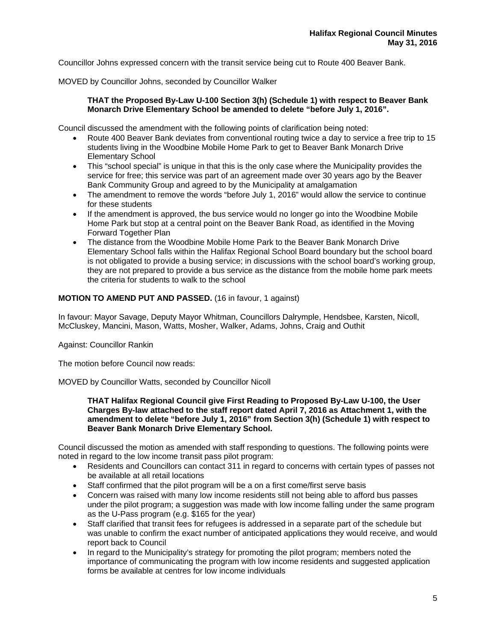Councillor Johns expressed concern with the transit service being cut to Route 400 Beaver Bank.

MOVED by Councillor Johns, seconded by Councillor Walker

## **THAT the Proposed By-Law U-100 Section 3(h) (Schedule 1) with respect to Beaver Bank Monarch Drive Elementary School be amended to delete "before July 1, 2016".**

Council discussed the amendment with the following points of clarification being noted:

- Route 400 Beaver Bank deviates from conventional routing twice a day to service a free trip to 15 students living in the Woodbine Mobile Home Park to get to Beaver Bank Monarch Drive Elementary School
- This "school special" is unique in that this is the only case where the Municipality provides the service for free; this service was part of an agreement made over 30 years ago by the Beaver Bank Community Group and agreed to by the Municipality at amalgamation
- The amendment to remove the words "before July 1, 2016" would allow the service to continue for these students
- If the amendment is approved, the bus service would no longer go into the Woodbine Mobile Home Park but stop at a central point on the Beaver Bank Road, as identified in the Moving Forward Together Plan
- The distance from the Woodbine Mobile Home Park to the Beaver Bank Monarch Drive Elementary School falls within the Halifax Regional School Board boundary but the school board is not obligated to provide a busing service; in discussions with the school board's working group, they are not prepared to provide a bus service as the distance from the mobile home park meets the criteria for students to walk to the school

## **MOTION TO AMEND PUT AND PASSED.** (16 in favour, 1 against)

In favour: Mayor Savage, Deputy Mayor Whitman, Councillors Dalrymple, Hendsbee, Karsten, Nicoll, McCluskey, Mancini, Mason, Watts, Mosher, Walker, Adams, Johns, Craig and Outhit

Against: Councillor Rankin

The motion before Council now reads:

MOVED by Councillor Watts, seconded by Councillor Nicoll

**THAT Halifax Regional Council give First Reading to Proposed By-Law U-100, the User Charges By-law attached to the staff report dated April 7, 2016 as Attachment 1, with the amendment to delete "before July 1, 2016" from Section 3(h) (Schedule 1) with respect to Beaver Bank Monarch Drive Elementary School.** 

Council discussed the motion as amended with staff responding to questions. The following points were noted in regard to the low income transit pass pilot program:

- Residents and Councillors can contact 311 in regard to concerns with certain types of passes not be available at all retail locations
- Staff confirmed that the pilot program will be a on a first come/first serve basis
- Concern was raised with many low income residents still not being able to afford bus passes under the pilot program; a suggestion was made with low income falling under the same program as the U-Pass program (e.g. \$165 for the year)
- Staff clarified that transit fees for refugees is addressed in a separate part of the schedule but was unable to confirm the exact number of anticipated applications they would receive, and would report back to Council
- In regard to the Municipality's strategy for promoting the pilot program; members noted the importance of communicating the program with low income residents and suggested application forms be available at centres for low income individuals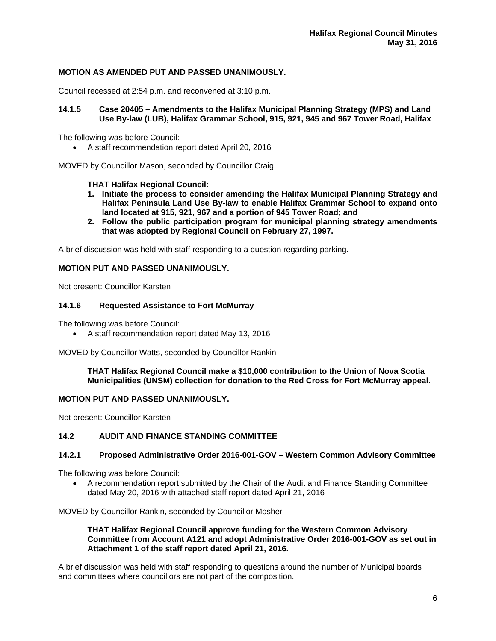## **MOTION AS AMENDED PUT AND PASSED UNANIMOUSLY.**

Council recessed at 2:54 p.m. and reconvened at 3:10 p.m.

#### **14.1.5 Case 20405 – Amendments to the Halifax Municipal Planning Strategy (MPS) and Land Use By-law (LUB), Halifax Grammar School, 915, 921, 945 and 967 Tower Road, Halifax**

The following was before Council:

A staff recommendation report dated April 20, 2016

MOVED by Councillor Mason, seconded by Councillor Craig

#### **THAT Halifax Regional Council:**

- **1. Initiate the process to consider amending the Halifax Municipal Planning Strategy and Halifax Peninsula Land Use By-law to enable Halifax Grammar School to expand onto land located at 915, 921, 967 and a portion of 945 Tower Road; and**
- **2. Follow the public participation program for municipal planning strategy amendments that was adopted by Regional Council on February 27, 1997.**

A brief discussion was held with staff responding to a question regarding parking.

## **MOTION PUT AND PASSED UNANIMOUSLY.**

Not present: Councillor Karsten

#### **14.1.6 Requested Assistance to Fort McMurray**

The following was before Council:

A staff recommendation report dated May 13, 2016

MOVED by Councillor Watts, seconded by Councillor Rankin

#### **THAT Halifax Regional Council make a \$10,000 contribution to the Union of Nova Scotia Municipalities (UNSM) collection for donation to the Red Cross for Fort McMurray appeal.**

#### **MOTION PUT AND PASSED UNANIMOUSLY.**

Not present: Councillor Karsten

## **14.2 AUDIT AND FINANCE STANDING COMMITTEE**

#### **14.2.1 Proposed Administrative Order 2016-001-GOV – Western Common Advisory Committee**

The following was before Council:

 A recommendation report submitted by the Chair of the Audit and Finance Standing Committee dated May 20, 2016 with attached staff report dated April 21, 2016

MOVED by Councillor Rankin, seconded by Councillor Mosher

#### **THAT Halifax Regional Council approve funding for the Western Common Advisory Committee from Account A121 and adopt Administrative Order 2016-001-GOV as set out in Attachment 1 of the staff report dated April 21, 2016.**

A brief discussion was held with staff responding to questions around the number of Municipal boards and committees where councillors are not part of the composition.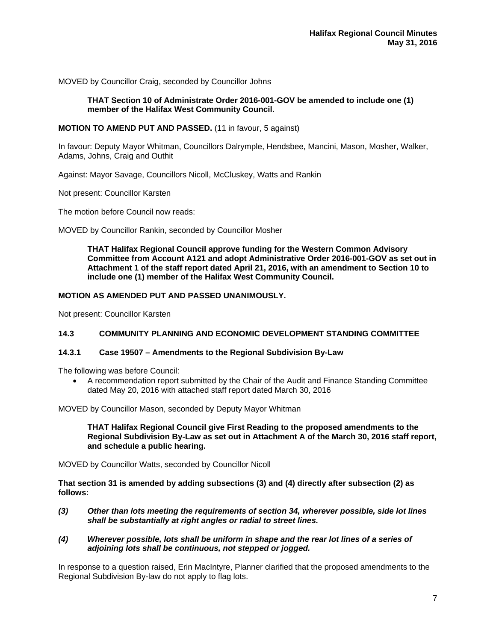MOVED by Councillor Craig, seconded by Councillor Johns

## **THAT Section 10 of Administrate Order 2016-001-GOV be amended to include one (1) member of the Halifax West Community Council.**

#### **MOTION TO AMEND PUT AND PASSED.** (11 in favour, 5 against)

In favour: Deputy Mayor Whitman, Councillors Dalrymple, Hendsbee, Mancini, Mason, Mosher, Walker, Adams, Johns, Craig and Outhit

Against: Mayor Savage, Councillors Nicoll, McCluskey, Watts and Rankin

Not present: Councillor Karsten

The motion before Council now reads:

MOVED by Councillor Rankin, seconded by Councillor Mosher

**THAT Halifax Regional Council approve funding for the Western Common Advisory Committee from Account A121 and adopt Administrative Order 2016-001-GOV as set out in Attachment 1 of the staff report dated April 21, 2016, with an amendment to Section 10 to include one (1) member of the Halifax West Community Council.** 

#### **MOTION AS AMENDED PUT AND PASSED UNANIMOUSLY.**

Not present: Councillor Karsten

## **14.3 COMMUNITY PLANNING AND ECONOMIC DEVELOPMENT STANDING COMMITTEE**

#### **14.3.1 Case 19507 – Amendments to the Regional Subdivision By-Law**

The following was before Council:

 A recommendation report submitted by the Chair of the Audit and Finance Standing Committee dated May 20, 2016 with attached staff report dated March 30, 2016

MOVED by Councillor Mason, seconded by Deputy Mayor Whitman

**THAT Halifax Regional Council give First Reading to the proposed amendments to the Regional Subdivision By-Law as set out in Attachment A of the March 30, 2016 staff report, and schedule a public hearing.** 

MOVED by Councillor Watts, seconded by Councillor Nicoll

**That section 31 is amended by adding subsections (3) and (4) directly after subsection (2) as follows:** 

- *(3) Other than lots meeting the requirements of section 34, wherever possible, side lot lines shall be substantially at right angles or radial to street lines.*
- *(4) Wherever possible, lots shall be uniform in shape and the rear lot lines of a series of adjoining lots shall be continuous, not stepped or jogged.*

In response to a question raised, Erin MacIntyre, Planner clarified that the proposed amendments to the Regional Subdivision By-law do not apply to flag lots.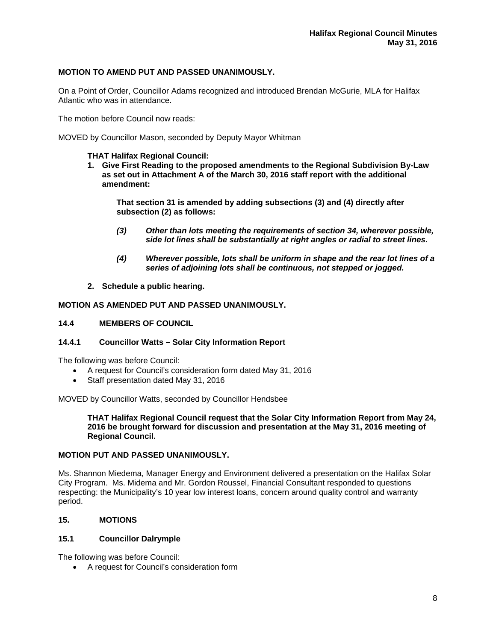## **MOTION TO AMEND PUT AND PASSED UNANIMOUSLY.**

On a Point of Order, Councillor Adams recognized and introduced Brendan McGurie, MLA for Halifax Atlantic who was in attendance.

The motion before Council now reads:

MOVED by Councillor Mason, seconded by Deputy Mayor Whitman

## **THAT Halifax Regional Council:**

**1. Give First Reading to the proposed amendments to the Regional Subdivision By-Law as set out in Attachment A of the March 30, 2016 staff report with the additional amendment:** 

**That section 31 is amended by adding subsections (3) and (4) directly after subsection (2) as follows:** 

- *(3) Other than lots meeting the requirements of section 34, wherever possible, side lot lines shall be substantially at right angles or radial to street lines.*
- *(4) Wherever possible, lots shall be uniform in shape and the rear lot lines of a series of adjoining lots shall be continuous, not stepped or jogged.*
- **2. Schedule a public hearing.**

## **MOTION AS AMENDED PUT AND PASSED UNANIMOUSLY.**

#### **14.4 MEMBERS OF COUNCIL**

#### **14.4.1 Councillor Watts – Solar City Information Report**

The following was before Council:

- A request for Council's consideration form dated May 31, 2016
- Staff presentation dated May 31, 2016

MOVED by Councillor Watts, seconded by Councillor Hendsbee

**THAT Halifax Regional Council request that the Solar City Information Report from May 24, 2016 be brought forward for discussion and presentation at the May 31, 2016 meeting of Regional Council.** 

## **MOTION PUT AND PASSED UNANIMOUSLY.**

Ms. Shannon Miedema, Manager Energy and Environment delivered a presentation on the Halifax Solar City Program. Ms. Midema and Mr. Gordon Roussel, Financial Consultant responded to questions respecting: the Municipality's 10 year low interest loans, concern around quality control and warranty period.

#### **15. MOTIONS**

## **15.1 Councillor Dalrymple**

The following was before Council:

A request for Council's consideration form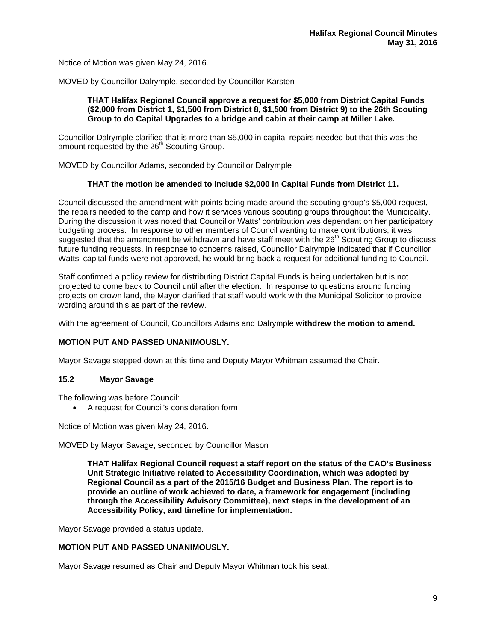Notice of Motion was given May 24, 2016.

MOVED by Councillor Dalrymple, seconded by Councillor Karsten

## **THAT Halifax Regional Council approve a request for \$5,000 from District Capital Funds (\$2,000 from District 1, \$1,500 from District 8, \$1,500 from District 9) to the 26th Scouting Group to do Capital Upgrades to a bridge and cabin at their camp at Miller Lake.**

Councillor Dalrymple clarified that is more than \$5,000 in capital repairs needed but that this was the amount requested by the 26<sup>th</sup> Scouting Group.

MOVED by Councillor Adams, seconded by Councillor Dalrymple

# **THAT the motion be amended to include \$2,000 in Capital Funds from District 11.**

Council discussed the amendment with points being made around the scouting group's \$5,000 request, the repairs needed to the camp and how it services various scouting groups throughout the Municipality. During the discussion it was noted that Councillor Watts' contribution was dependant on her participatory budgeting process. In response to other members of Council wanting to make contributions, it was suggested that the amendment be withdrawn and have staff meet with the 26<sup>th</sup> Scouting Group to discuss future funding requests. In response to concerns raised, Councillor Dalrymple indicated that if Councillor Watts' capital funds were not approved, he would bring back a request for additional funding to Council.

Staff confirmed a policy review for distributing District Capital Funds is being undertaken but is not projected to come back to Council until after the election. In response to questions around funding projects on crown land, the Mayor clarified that staff would work with the Municipal Solicitor to provide wording around this as part of the review.

With the agreement of Council, Councillors Adams and Dalrymple **withdrew the motion to amend.**

#### **MOTION PUT AND PASSED UNANIMOUSLY.**

Mayor Savage stepped down at this time and Deputy Mayor Whitman assumed the Chair.

## **15.2 Mayor Savage**

The following was before Council:

A request for Council's consideration form

Notice of Motion was given May 24, 2016.

MOVED by Mayor Savage, seconded by Councillor Mason

**THAT Halifax Regional Council request a staff report on the status of the CAO's Business Unit Strategic Initiative related to Accessibility Coordination, which was adopted by Regional Council as a part of the 2015/16 Budget and Business Plan. The report is to provide an outline of work achieved to date, a framework for engagement (including through the Accessibility Advisory Committee), next steps in the development of an Accessibility Policy, and timeline for implementation.** 

Mayor Savage provided a status update.

### **MOTION PUT AND PASSED UNANIMOUSLY.**

Mayor Savage resumed as Chair and Deputy Mayor Whitman took his seat.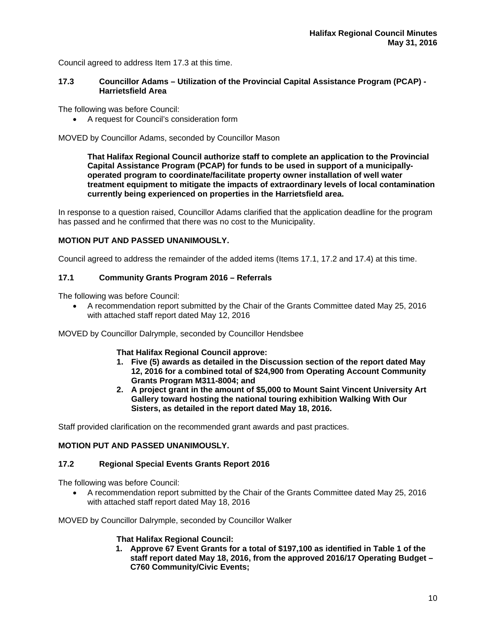Council agreed to address Item 17.3 at this time.

#### **17.3 Councillor Adams – Utilization of the Provincial Capital Assistance Program (PCAP) - Harrietsfield Area**

The following was before Council:

A request for Council's consideration form

MOVED by Councillor Adams, seconded by Councillor Mason

**That Halifax Regional Council authorize staff to complete an application to the Provincial Capital Assistance Program (PCAP) for funds to be used in support of a municipallyoperated program to coordinate/facilitate property owner installation of well water treatment equipment to mitigate the impacts of extraordinary levels of local contamination currently being experienced on properties in the Harrietsfield area.** 

In response to a question raised, Councillor Adams clarified that the application deadline for the program has passed and he confirmed that there was no cost to the Municipality.

## **MOTION PUT AND PASSED UNANIMOUSLY.**

Council agreed to address the remainder of the added items (Items 17.1, 17.2 and 17.4) at this time.

## **17.1 Community Grants Program 2016 – Referrals**

The following was before Council:

 A recommendation report submitted by the Chair of the Grants Committee dated May 25, 2016 with attached staff report dated May 12, 2016

MOVED by Councillor Dalrymple, seconded by Councillor Hendsbee

 **That Halifax Regional Council approve:** 

- **1. Five (5) awards as detailed in the Discussion section of the report dated May 12, 2016 for a combined total of \$24,900 from Operating Account Community Grants Program M311-8004; and**
- **2. A project grant in the amount of \$5,000 to Mount Saint Vincent University Art Gallery toward hosting the national touring exhibition Walking With Our Sisters, as detailed in the report dated May 18, 2016.**

Staff provided clarification on the recommended grant awards and past practices.

## **MOTION PUT AND PASSED UNANIMOUSLY.**

#### **17.2 Regional Special Events Grants Report 2016**

The following was before Council:

 A recommendation report submitted by the Chair of the Grants Committee dated May 25, 2016 with attached staff report dated May 18, 2016

MOVED by Councillor Dalrymple, seconded by Councillor Walker

#### **That Halifax Regional Council:**

**1. Approve 67 Event Grants for a total of \$197,100 as identified in Table 1 of the staff report dated May 18, 2016, from the approved 2016/17 Operating Budget – C760 Community/Civic Events;**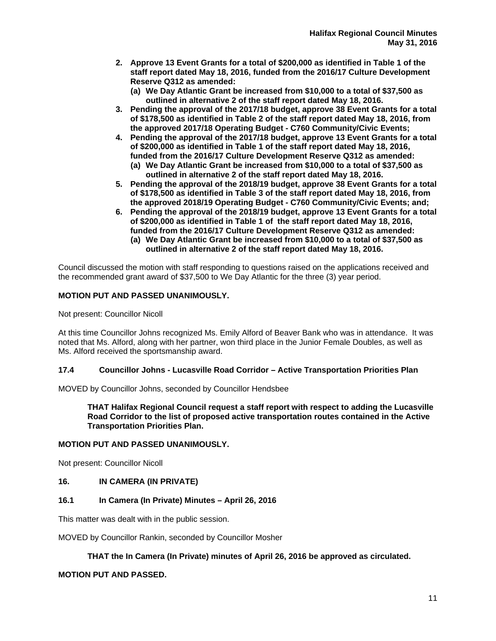- **2. Approve 13 Event Grants for a total of \$200,000 as identified in Table 1 of the staff report dated May 18, 2016, funded from the 2016/17 Culture Development Reserve Q312 as amended:** 
	- **(a) We Day Atlantic Grant be increased from \$10,000 to a total of \$37,500 as outlined in alternative 2 of the staff report dated May 18, 2016.**
- **3. Pending the approval of the 2017/18 budget, approve 38 Event Grants for a total of \$178,500 as identified in Table 2 of the staff report dated May 18, 2016, from the approved 2017/18 Operating Budget - C760 Community/Civic Events;**
- **4. Pending the approval of the 2017/18 budget, approve 13 Event Grants for a total of \$200,000 as identified in Table 1 of the staff report dated May 18, 2016, funded from the 2016/17 Culture Development Reserve Q312 as amended:** 
	- **(a) We Day Atlantic Grant be increased from \$10,000 to a total of \$37,500 as outlined in alternative 2 of the staff report dated May 18, 2016.**
- **5. Pending the approval of the 2018/19 budget, approve 38 Event Grants for a total of \$178,500 as identified in Table 3 of the staff report dated May 18, 2016, from the approved 2018/19 Operating Budget - C760 Community/Civic Events; and;**
- **6. Pending the approval of the 2018/19 budget, approve 13 Event Grants for a total of \$200,000 as identified in Table 1 of the staff report dated May 18, 2016, funded from the 2016/17 Culture Development Reserve Q312 as amended: (a) We Day Atlantic Grant be increased from \$10,000 to a total of \$37,500 as outlined in alternative 2 of the staff report dated May 18, 2016.**

Council discussed the motion with staff responding to questions raised on the applications received and the recommended grant award of \$37,500 to We Day Atlantic for the three (3) year period.

# **MOTION PUT AND PASSED UNANIMOUSLY.**

Not present: Councillor Nicoll

At this time Councillor Johns recognized Ms. Emily Alford of Beaver Bank who was in attendance. It was noted that Ms. Alford, along with her partner, won third place in the Junior Female Doubles, as well as Ms. Alford received the sportsmanship award.

# **17.4 Councillor Johns - Lucasville Road Corridor – Active Transportation Priorities Plan**

MOVED by Councillor Johns, seconded by Councillor Hendsbee

**THAT Halifax Regional Council request a staff report with respect to adding the Lucasville Road Corridor to the list of proposed active transportation routes contained in the Active Transportation Priorities Plan.** 

# **MOTION PUT AND PASSED UNANIMOUSLY.**

Not present: Councillor Nicoll

# **16. IN CAMERA (IN PRIVATE)**

# **16.1 In Camera (In Private) Minutes – April 26, 2016**

This matter was dealt with in the public session.

MOVED by Councillor Rankin, seconded by Councillor Mosher

# **THAT the In Camera (In Private) minutes of April 26, 2016 be approved as circulated.**

# **MOTION PUT AND PASSED.**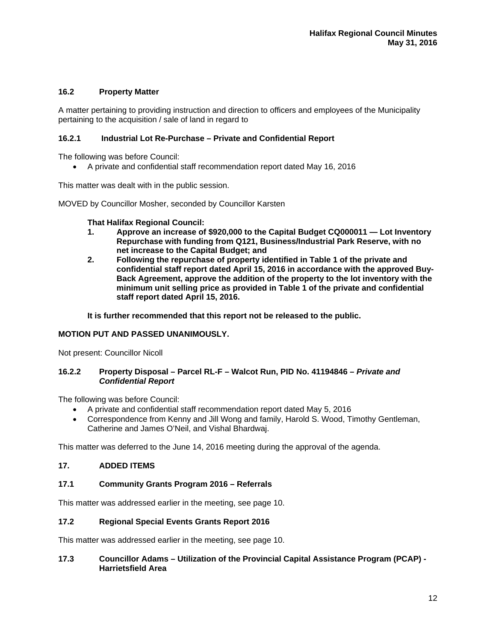## **16.2 Property Matter**

A matter pertaining to providing instruction and direction to officers and employees of the Municipality pertaining to the acquisition / sale of land in regard to

## **16.2.1 Industrial Lot Re-Purchase – Private and Confidential Report**

The following was before Council:

A private and confidential staff recommendation report dated May 16, 2016

This matter was dealt with in the public session.

MOVED by Councillor Mosher, seconded by Councillor Karsten

#### **That Halifax Regional Council:**

- **1. Approve an increase of \$920,000 to the Capital Budget CQ000011 Lot Inventory Repurchase with funding from Q121, Business/Industrial Park Reserve, with no net increase to the Capital Budget; and**
- **2. Following the repurchase of property identified in Table 1 of the private and confidential staff report dated April 15, 2016 in accordance with the approved Buy-Back Agreement, approve the addition of the property to the lot inventory with the minimum unit selling price as provided in Table 1 of the private and confidential staff report dated April 15, 2016.**

**It is further recommended that this report not be released to the public.** 

## **MOTION PUT AND PASSED UNANIMOUSLY.**

Not present: Councillor Nicoll

#### **16.2.2 Property Disposal – Parcel RL-F – Walcot Run, PID No. 41194846** *– Private and Confidential Report*

The following was before Council:

- A private and confidential staff recommendation report dated May 5, 2016
- Correspondence from Kenny and Jill Wong and family, Harold S. Wood, Timothy Gentleman, Catherine and James O'Neil, and Vishal Bhardwaj.

This matter was deferred to the June 14, 2016 meeting during the approval of the agenda.

## **17. ADDED ITEMS**

#### **17.1 Community Grants Program 2016 – Referrals**

This matter was addressed earlier in the meeting, see page 10.

#### **17.2 Regional Special Events Grants Report 2016**

This matter was addressed earlier in the meeting, see page 10.

## **17.3 Councillor Adams – Utilization of the Provincial Capital Assistance Program (PCAP) - Harrietsfield Area**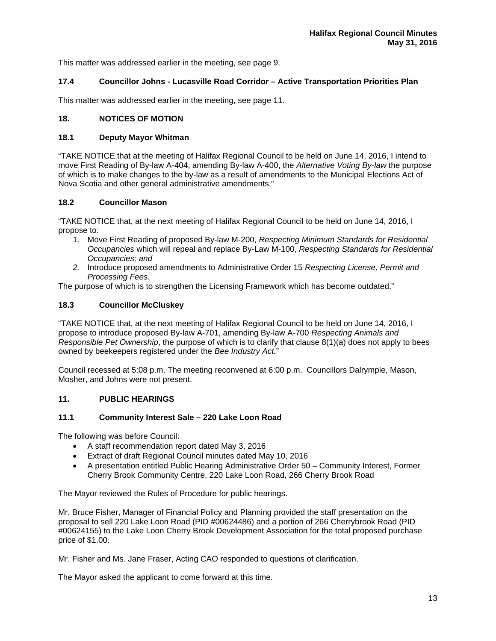This matter was addressed earlier in the meeting, see page 9.

# **17.4 Councillor Johns - Lucasville Road Corridor – Active Transportation Priorities Plan**

This matter was addressed earlier in the meeting, see page 11.

## **18. NOTICES OF MOTION**

## **18.1 Deputy Mayor Whitman**

"TAKE NOTICE that at the meeting of Halifax Regional Council to be held on June 14, 2016, I intend to move First Reading of By-law A-404, amending By-law A-400, the *Alternative Voting By-law* the purpose of which is to make changes to the by-law as a result of amendments to the Municipal Elections Act of Nova Scotia and other general administrative amendments."

## **18.2 Councillor Mason**

"TAKE NOTICE that, at the next meeting of Halifax Regional Council to be held on June 14, 2016, I propose to:

- 1. Move First Reading of proposed By-law M-200, *Respecting Minimum Standards for Residential Occupancies* which will repeal and replace By-Law M-100, *Respecting Standards for Residential Occupancies; and*
- *2.* Introduce proposed amendments to Administrative Order 15 *Respecting License, Permit and Processing Fees.*

The purpose of which is to strengthen the Licensing Framework which has become outdated."

# **18.3 Councillor McCluskey**

"TAKE NOTICE that, at the next meeting of Halifax Regional Council to be held on June 14, 2016, I propose to introduce proposed By-law A-701, amending By-law A-700 *Respecting Animals and Responsible Pet Ownership*, the purpose of which is to clarify that clause 8(1)(a) does not apply to bees owned by beekeepers registered under the *Bee Industry Act.*"

Council recessed at 5:08 p.m. The meeting reconvened at 6:00 p.m. Councillors Dalrymple, Mason, Mosher, and Johns were not present.

#### **11. PUBLIC HEARINGS**

#### **11.1 Community Interest Sale – 220 Lake Loon Road**

The following was before Council:

- A staff recommendation report dated May 3, 2016
- Extract of draft Regional Council minutes dated May 10, 2016
- A presentation entitled Public Hearing Administrative Order 50 Community Interest, Former Cherry Brook Community Centre, 220 Lake Loon Road, 266 Cherry Brook Road

The Mayor reviewed the Rules of Procedure for public hearings.

Mr. Bruce Fisher, Manager of Financial Policy and Planning provided the staff presentation on the proposal to sell 220 Lake Loon Road (PID #00624486) and a portion of 266 Cherrybrook Road (PID #00624155) to the Lake Loon Cherry Brook Development Association for the total proposed purchase price of \$1.00.

Mr. Fisher and Ms. Jane Fraser, Acting CAO responded to questions of clarification.

The Mayor asked the applicant to come forward at this time.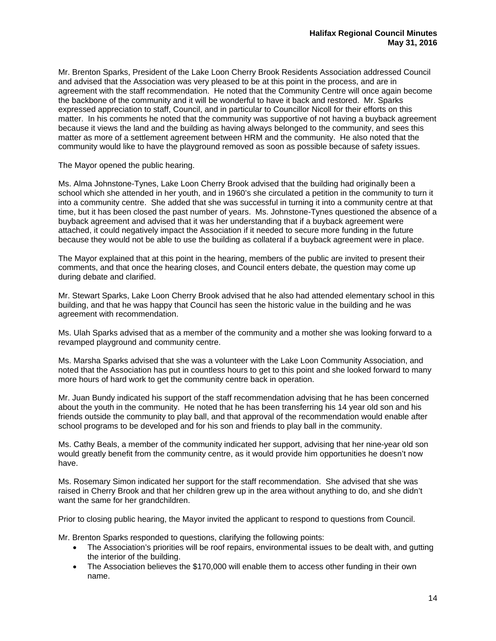Mr. Brenton Sparks, President of the Lake Loon Cherry Brook Residents Association addressed Council and advised that the Association was very pleased to be at this point in the process, and are in agreement with the staff recommendation. He noted that the Community Centre will once again become the backbone of the community and it will be wonderful to have it back and restored. Mr. Sparks expressed appreciation to staff, Council, and in particular to Councillor Nicoll for their efforts on this matter. In his comments he noted that the community was supportive of not having a buyback agreement because it views the land and the building as having always belonged to the community, and sees this matter as more of a settlement agreement between HRM and the community. He also noted that the community would like to have the playground removed as soon as possible because of safety issues.

The Mayor opened the public hearing.

Ms. Alma Johnstone-Tynes, Lake Loon Cherry Brook advised that the building had originally been a school which she attended in her youth, and in 1960's she circulated a petition in the community to turn it into a community centre. She added that she was successful in turning it into a community centre at that time, but it has been closed the past number of years. Ms. Johnstone-Tynes questioned the absence of a buyback agreement and advised that it was her understanding that if a buyback agreement were attached, it could negatively impact the Association if it needed to secure more funding in the future because they would not be able to use the building as collateral if a buyback agreement were in place.

The Mayor explained that at this point in the hearing, members of the public are invited to present their comments, and that once the hearing closes, and Council enters debate, the question may come up during debate and clarified.

Mr. Stewart Sparks, Lake Loon Cherry Brook advised that he also had attended elementary school in this building, and that he was happy that Council has seen the historic value in the building and he was agreement with recommendation.

Ms. Ulah Sparks advised that as a member of the community and a mother she was looking forward to a revamped playground and community centre.

Ms. Marsha Sparks advised that she was a volunteer with the Lake Loon Community Association, and noted that the Association has put in countless hours to get to this point and she looked forward to many more hours of hard work to get the community centre back in operation.

Mr. Juan Bundy indicated his support of the staff recommendation advising that he has been concerned about the youth in the community. He noted that he has been transferring his 14 year old son and his friends outside the community to play ball, and that approval of the recommendation would enable after school programs to be developed and for his son and friends to play ball in the community.

Ms. Cathy Beals, a member of the community indicated her support, advising that her nine-year old son would greatly benefit from the community centre, as it would provide him opportunities he doesn't now have.

Ms. Rosemary Simon indicated her support for the staff recommendation. She advised that she was raised in Cherry Brook and that her children grew up in the area without anything to do, and she didn't want the same for her grandchildren.

Prior to closing public hearing, the Mayor invited the applicant to respond to questions from Council.

Mr. Brenton Sparks responded to questions, clarifying the following points:

- The Association's priorities will be roof repairs, environmental issues to be dealt with, and gutting the interior of the building.
- The Association believes the \$170,000 will enable them to access other funding in their own name.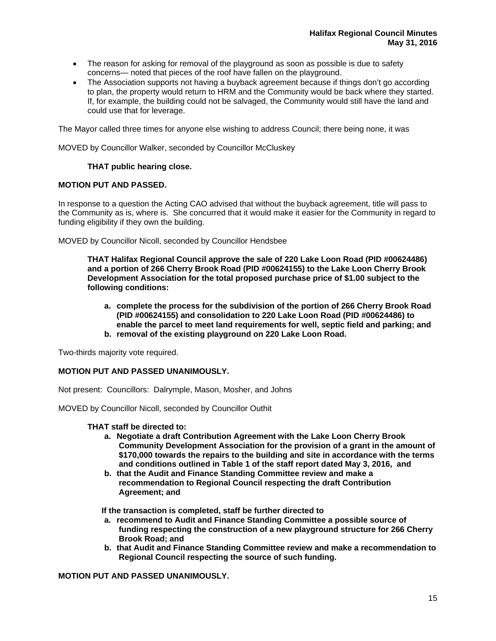- The reason for asking for removal of the playground as soon as possible is due to safety concerns— noted that pieces of the roof have fallen on the playground.
- The Association supports not having a buyback agreement because if things don't go according to plan, the property would return to HRM and the Community would be back where they started. If, for example, the building could not be salvaged, the Community would still have the land and could use that for leverage.

The Mayor called three times for anyone else wishing to address Council; there being none, it was

MOVED by Councillor Walker, seconded by Councillor McCluskey

## **THAT public hearing close.**

## **MOTION PUT AND PASSED.**

In response to a question the Acting CAO advised that without the buyback agreement, title will pass to the Community as is, where is. She concurred that it would make it easier for the Community in regard to funding eligibility if they own the building.

MOVED by Councillor Nicoll, seconded by Councillor Hendsbee

**THAT Halifax Regional Council approve the sale of 220 Lake Loon Road (PID #00624486) and a portion of 266 Cherry Brook Road (PID #00624155) to the Lake Loon Cherry Brook Development Association for the total proposed purchase price of \$1.00 subject to the following conditions:** 

- **a. complete the process for the subdivision of the portion of 266 Cherry Brook Road (PID #00624155) and consolidation to 220 Lake Loon Road (PID #00624486) to enable the parcel to meet land requirements for well, septic field and parking; and**
- **b. removal of the existing playground on 220 Lake Loon Road.**

Two-thirds majority vote required.

## **MOTION PUT AND PASSED UNANIMOUSLY.**

Not present: Councillors: Dalrymple, Mason, Mosher, and Johns

MOVED by Councillor Nicoll, seconded by Councillor Outhit

#### **THAT staff be directed to:**

- **a. Negotiate a draft Contribution Agreement with the Lake Loon Cherry Brook Community Development Association for the provision of a grant in the amount of \$170,000 towards the repairs to the building and site in accordance with the terms and conditions outlined in Table 1 of the staff report dated May 3, 2016, and**
- **b. that the Audit and Finance Standing Committee review and make a recommendation to Regional Council respecting the draft Contribution Agreement; and**

**If the transaction is completed, staff be further directed to** 

- **a. recommend to Audit and Finance Standing Committee a possible source of funding respecting the construction of a new playground structure for 266 Cherry Brook Road; and**
- **b. that Audit and Finance Standing Committee review and make a recommendation to Regional Council respecting the source of such funding.**

**MOTION PUT AND PASSED UNANIMOUSLY.**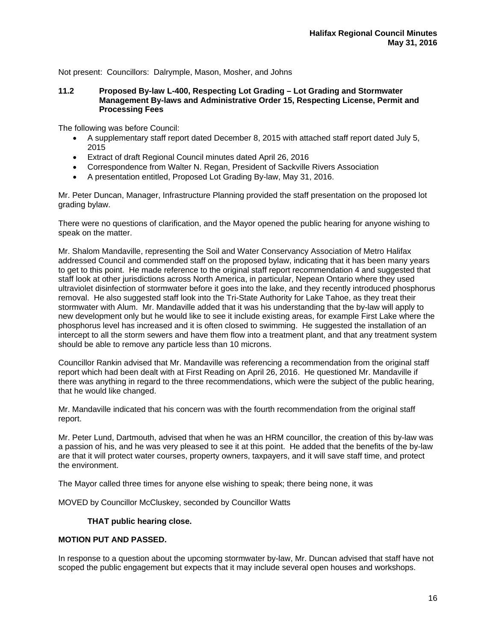Not present: Councillors: Dalrymple, Mason, Mosher, and Johns

#### **11.2 Proposed By-law L-400, Respecting Lot Grading – Lot Grading and Stormwater Management By-laws and Administrative Order 15, Respecting License, Permit and Processing Fees**

The following was before Council:

- A supplementary staff report dated December 8, 2015 with attached staff report dated July 5, 2015
- Extract of draft Regional Council minutes dated April 26, 2016
- Correspondence from Walter N. Regan, President of Sackville Rivers Association
- A presentation entitled, Proposed Lot Grading By-law, May 31, 2016.

Mr. Peter Duncan, Manager, Infrastructure Planning provided the staff presentation on the proposed lot grading bylaw.

There were no questions of clarification, and the Mayor opened the public hearing for anyone wishing to speak on the matter.

Mr. Shalom Mandaville, representing the Soil and Water Conservancy Association of Metro Halifax addressed Council and commended staff on the proposed bylaw, indicating that it has been many years to get to this point. He made reference to the original staff report recommendation 4 and suggested that staff look at other jurisdictions across North America, in particular, Nepean Ontario where they used ultraviolet disinfection of stormwater before it goes into the lake, and they recently introduced phosphorus removal. He also suggested staff look into the Tri-State Authority for Lake Tahoe, as they treat their stormwater with Alum. Mr. Mandaville added that it was his understanding that the by-law will apply to new development only but he would like to see it include existing areas, for example First Lake where the phosphorus level has increased and it is often closed to swimming. He suggested the installation of an intercept to all the storm sewers and have them flow into a treatment plant, and that any treatment system should be able to remove any particle less than 10 microns.

Councillor Rankin advised that Mr. Mandaville was referencing a recommendation from the original staff report which had been dealt with at First Reading on April 26, 2016. He questioned Mr. Mandaville if there was anything in regard to the three recommendations, which were the subject of the public hearing, that he would like changed.

Mr. Mandaville indicated that his concern was with the fourth recommendation from the original staff report.

Mr. Peter Lund, Dartmouth, advised that when he was an HRM councillor, the creation of this by-law was a passion of his, and he was very pleased to see it at this point. He added that the benefits of the by-law are that it will protect water courses, property owners, taxpayers, and it will save staff time, and protect the environment.

The Mayor called three times for anyone else wishing to speak; there being none, it was

MOVED by Councillor McCluskey, seconded by Councillor Watts

#### **THAT public hearing close.**

## **MOTION PUT AND PASSED.**

In response to a question about the upcoming stormwater by-law, Mr. Duncan advised that staff have not scoped the public engagement but expects that it may include several open houses and workshops.